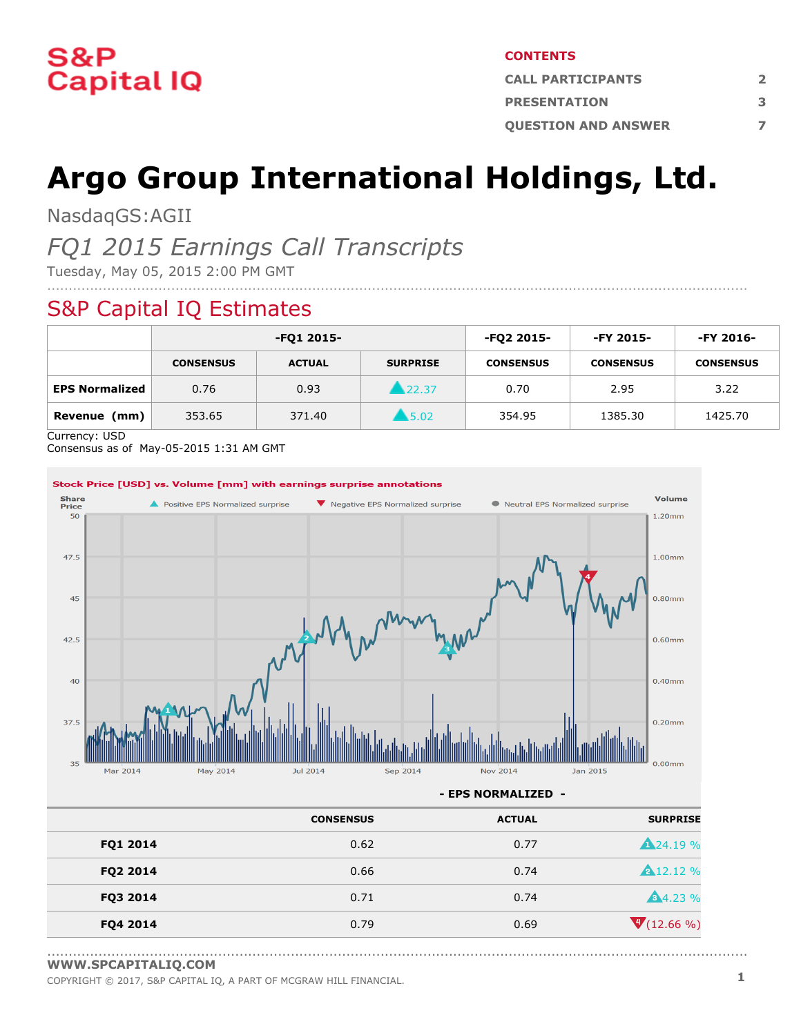

#### **CONTENTS**

| <b>CALL PARTICIPANTS</b>   |   |  |  |
|----------------------------|---|--|--|
| <b>PRESENTATION</b>        | в |  |  |
| <b>OUESTION AND ANSWER</b> |   |  |  |

# **Argo Group International Holdings, Ltd.**

NasdaqGS:AGII

# *FQ1 2015 Earnings Call Transcripts*

Tuesday, May 05, 2015 2:00 PM GMT

# S&P Capital IQ Estimates

|                       | -FQ1 2015-       |               |                     | -FQ2 2015-       | -FY 2015-        | -FY 2016-        |
|-----------------------|------------------|---------------|---------------------|------------------|------------------|------------------|
|                       | <b>CONSENSUS</b> | <b>ACTUAL</b> | <b>SURPRISE</b>     | <b>CONSENSUS</b> | <b>CONSENSUS</b> | <b>CONSENSUS</b> |
| <b>EPS Normalized</b> | 0.76             | 0.93          | ■ 22.37             | 0.70             | 2.95             | 3.22             |
| Revenue<br>(mm)       | 353.65           | 371.40        | $\blacksquare$ 5.02 | 354.95           | 1385.30          | 1425.70          |

....................................................................................................................................................................

Currency: USD

Consensus as of May-05-2015 1:31 AM GMT



|          | <b>CONSENSUS</b> | <b>ACTUAL</b> | <b>SURPRISE</b>  |
|----------|------------------|---------------|------------------|
| FQ1 2014 | 0.62             | 0.77          | <b>A24.19 %</b>  |
| FQ2 2014 | 0.66             | 0.74          | <b>A</b> 12.12 % |
| FQ3 2014 | 0.71             | 0.74          | <b>A</b> 4.23 %  |
| FQ4 2014 | 0.79             | 0.69          | $V(12.66\%)$     |

<sup>....................................................................................................................................................................</sup> **[WWW.SPCAPITALIQ.COM](https://www.capitaliq.com/home.aspx)**

COPYRIGHT © 2017, S&P CAPITAL IQ, <sup>A</sup> PART OF MCGRAW HILL FINANCIAL. **1**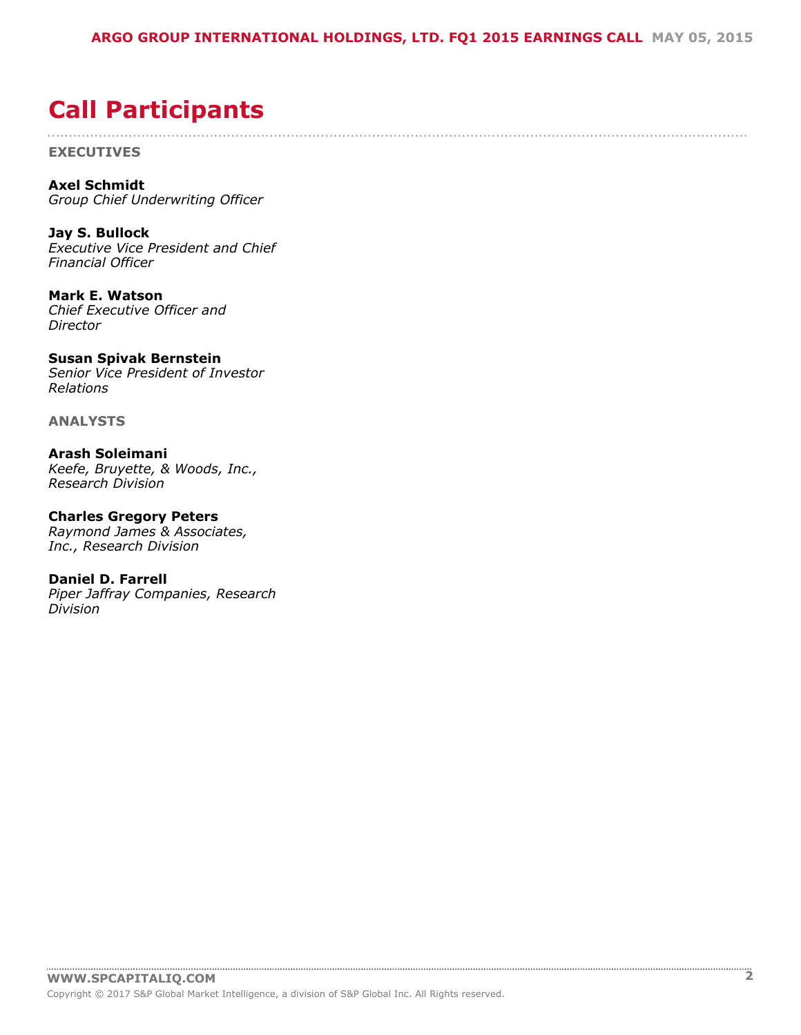....................................................................................................................................................................

# <span id="page-1-0"></span>**Call Participants**

**EXECUTIVES**

**Axel Schmidt** *Group Chief Underwriting Officer*

**Jay S. Bullock** *Executive Vice President and Chief Financial Officer*

**Mark E. Watson** *Chief Executive Officer and Director*

**Susan Spivak Bernstein** *Senior Vice President of Investor Relations*

**ANALYSTS**

**Arash Soleimani** *Keefe, Bruyette, & Woods, Inc., Research Division*

**Charles Gregory Peters** *Raymond James & Associates, Inc., Research Division*

**Daniel D. Farrell** *Piper Jaffray Companies, Research Division*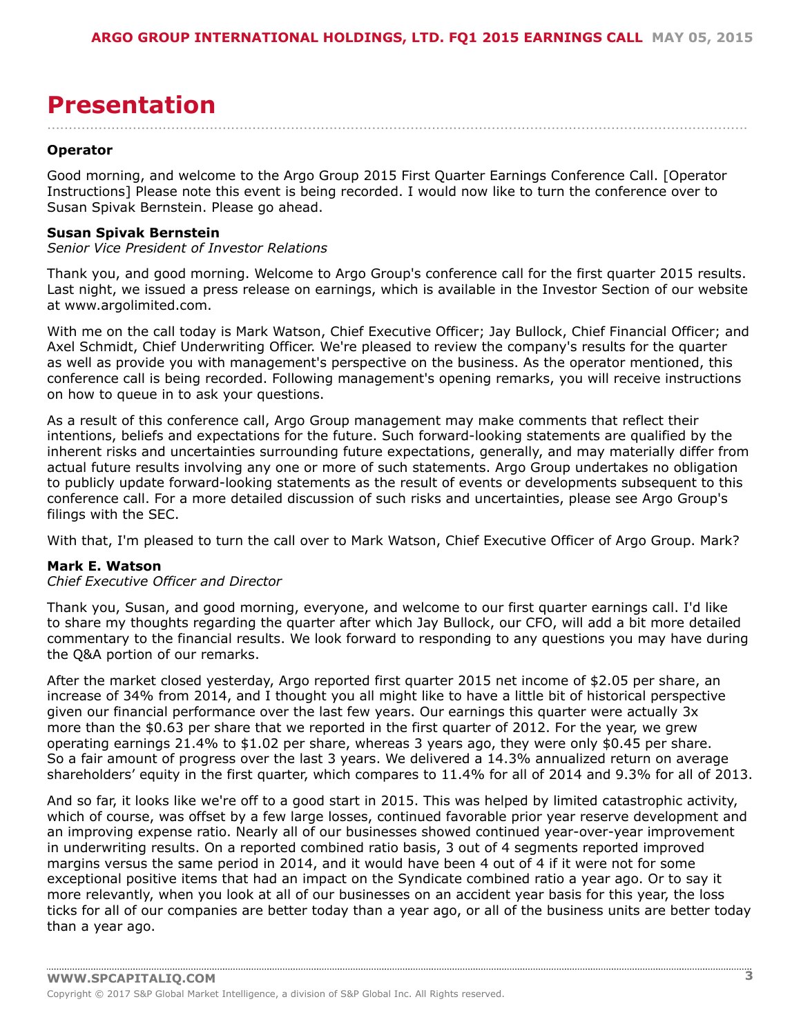# <span id="page-2-0"></span>**Presentation**

#### **Operator**

Good morning, and welcome to the Argo Group 2015 First Quarter Earnings Conference Call. [Operator Instructions] Please note this event is being recorded. I would now like to turn the conference over to Susan Spivak Bernstein. Please go ahead.

....................................................................................................................................................................

#### **Susan Spivak Bernstein**

*Senior Vice President of Investor Relations*

Thank you, and good morning. Welcome to Argo Group's conference call for the first quarter 2015 results. Last night, we issued a press release on earnings, which is available in the Investor Section of our website at www.argolimited.com.

With me on the call today is Mark Watson, Chief Executive Officer; Jay Bullock, Chief Financial Officer; and Axel Schmidt, Chief Underwriting Officer. We're pleased to review the company's results for the quarter as well as provide you with management's perspective on the business. As the operator mentioned, this conference call is being recorded. Following management's opening remarks, you will receive instructions on how to queue in to ask your questions.

As a result of this conference call, Argo Group management may make comments that reflect their intentions, beliefs and expectations for the future. Such forward-looking statements are qualified by the inherent risks and uncertainties surrounding future expectations, generally, and may materially differ from actual future results involving any one or more of such statements. Argo Group undertakes no obligation to publicly update forward-looking statements as the result of events or developments subsequent to this conference call. For a more detailed discussion of such risks and uncertainties, please see Argo Group's filings with the SEC.

With that, I'm pleased to turn the call over to Mark Watson, Chief Executive Officer of Argo Group. Mark?

#### **Mark E. Watson**

# *Chief Executive Officer and Director*

Thank you, Susan, and good morning, everyone, and welcome to our first quarter earnings call. I'd like to share my thoughts regarding the quarter after which Jay Bullock, our CFO, will add a bit more detailed commentary to the financial results. We look forward to responding to any questions you may have during the Q&A portion of our remarks.

After the market closed yesterday, Argo reported first quarter 2015 net income of \$2.05 per share, an increase of 34% from 2014, and I thought you all might like to have a little bit of historical perspective given our financial performance over the last few years. Our earnings this quarter were actually 3x more than the \$0.63 per share that we reported in the first quarter of 2012. For the year, we grew operating earnings 21.4% to \$1.02 per share, whereas 3 years ago, they were only \$0.45 per share. So a fair amount of progress over the last 3 years. We delivered a 14.3% annualized return on average shareholders' equity in the first quarter, which compares to 11.4% for all of 2014 and 9.3% for all of 2013.

And so far, it looks like we're off to a good start in 2015. This was helped by limited catastrophic activity, which of course, was offset by a few large losses, continued favorable prior year reserve development and an improving expense ratio. Nearly all of our businesses showed continued year-over-year improvement in underwriting results. On a reported combined ratio basis, 3 out of 4 segments reported improved margins versus the same period in 2014, and it would have been 4 out of 4 if it were not for some exceptional positive items that had an impact on the Syndicate combined ratio a year ago. Or to say it more relevantly, when you look at all of our businesses on an accident year basis for this year, the loss ticks for all of our companies are better today than a year ago, or all of the business units are better today than a year ago.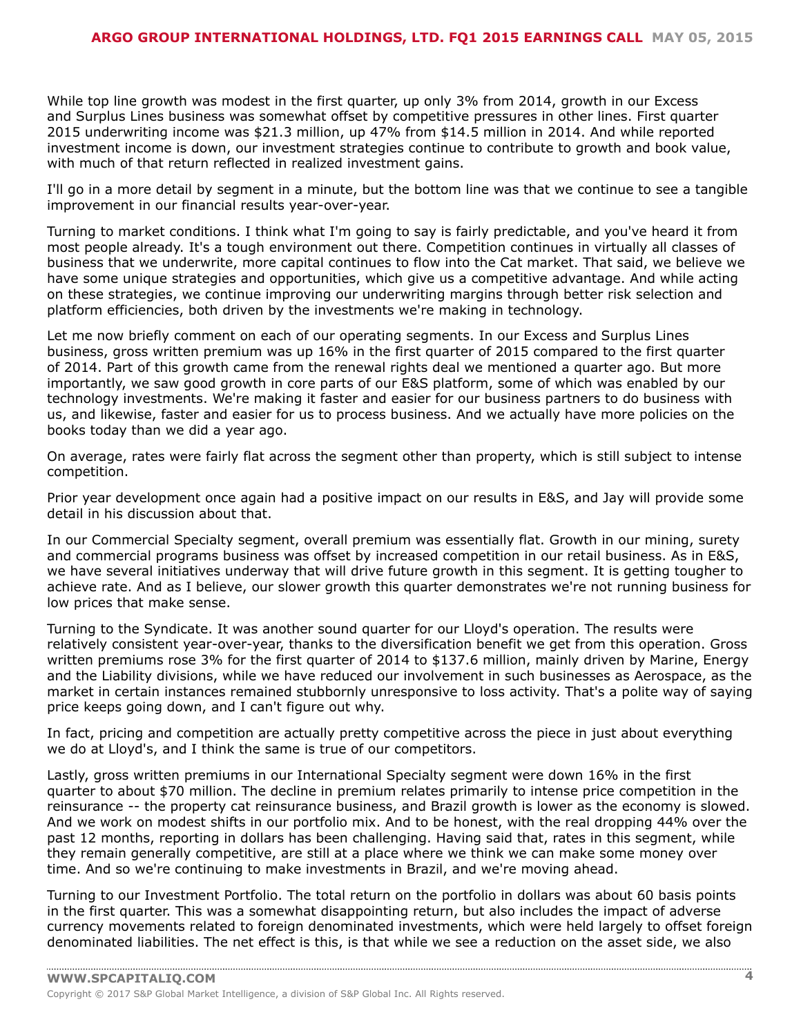While top line growth was modest in the first quarter, up only 3% from 2014, growth in our Excess and Surplus Lines business was somewhat offset by competitive pressures in other lines. First quarter 2015 underwriting income was \$21.3 million, up 47% from \$14.5 million in 2014. And while reported investment income is down, our investment strategies continue to contribute to growth and book value, with much of that return reflected in realized investment gains.

I'll go in a more detail by segment in a minute, but the bottom line was that we continue to see a tangible improvement in our financial results year-over-year.

Turning to market conditions. I think what I'm going to say is fairly predictable, and you've heard it from most people already. It's a tough environment out there. Competition continues in virtually all classes of business that we underwrite, more capital continues to flow into the Cat market. That said, we believe we have some unique strategies and opportunities, which give us a competitive advantage. And while acting on these strategies, we continue improving our underwriting margins through better risk selection and platform efficiencies, both driven by the investments we're making in technology.

Let me now briefly comment on each of our operating segments. In our Excess and Surplus Lines business, gross written premium was up 16% in the first quarter of 2015 compared to the first quarter of 2014. Part of this growth came from the renewal rights deal we mentioned a quarter ago. But more importantly, we saw good growth in core parts of our E&S platform, some of which was enabled by our technology investments. We're making it faster and easier for our business partners to do business with us, and likewise, faster and easier for us to process business. And we actually have more policies on the books today than we did a year ago.

On average, rates were fairly flat across the segment other than property, which is still subject to intense competition.

Prior year development once again had a positive impact on our results in E&S, and Jay will provide some detail in his discussion about that.

In our Commercial Specialty segment, overall premium was essentially flat. Growth in our mining, surety and commercial programs business was offset by increased competition in our retail business. As in E&S, we have several initiatives underway that will drive future growth in this segment. It is getting tougher to achieve rate. And as I believe, our slower growth this quarter demonstrates we're not running business for low prices that make sense.

Turning to the Syndicate. It was another sound quarter for our Lloyd's operation. The results were relatively consistent year-over-year, thanks to the diversification benefit we get from this operation. Gross written premiums rose 3% for the first quarter of 2014 to \$137.6 million, mainly driven by Marine, Energy and the Liability divisions, while we have reduced our involvement in such businesses as Aerospace, as the market in certain instances remained stubbornly unresponsive to loss activity. That's a polite way of saying price keeps going down, and I can't figure out why.

In fact, pricing and competition are actually pretty competitive across the piece in just about everything we do at Lloyd's, and I think the same is true of our competitors.

Lastly, gross written premiums in our International Specialty segment were down 16% in the first quarter to about \$70 million. The decline in premium relates primarily to intense price competition in the reinsurance -- the property cat reinsurance business, and Brazil growth is lower as the economy is slowed. And we work on modest shifts in our portfolio mix. And to be honest, with the real dropping 44% over the past 12 months, reporting in dollars has been challenging. Having said that, rates in this segment, while they remain generally competitive, are still at a place where we think we can make some money over time. And so we're continuing to make investments in Brazil, and we're moving ahead.

Turning to our Investment Portfolio. The total return on the portfolio in dollars was about 60 basis points in the first quarter. This was a somewhat disappointing return, but also includes the impact of adverse currency movements related to foreign denominated investments, which were held largely to offset foreign denominated liabilities. The net effect is this, is that while we see a reduction on the asset side, we also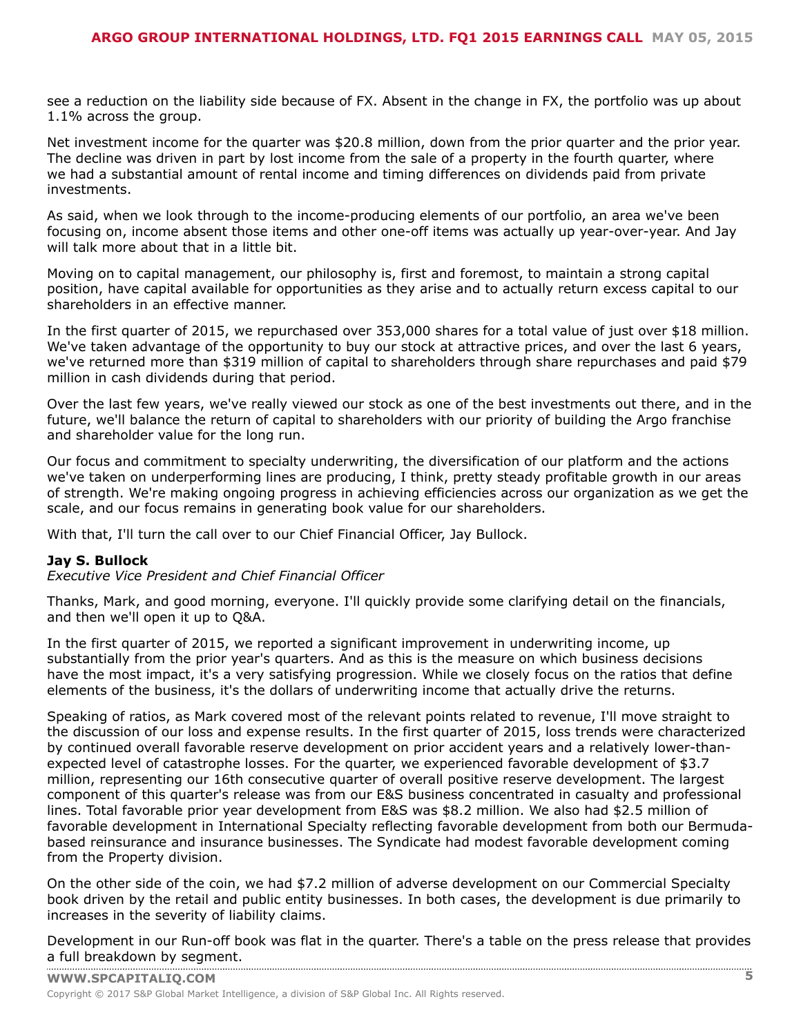see a reduction on the liability side because of FX. Absent in the change in FX, the portfolio was up about 1.1% across the group.

Net investment income for the quarter was \$20.8 million, down from the prior quarter and the prior year. The decline was driven in part by lost income from the sale of a property in the fourth quarter, where we had a substantial amount of rental income and timing differences on dividends paid from private investments.

As said, when we look through to the income-producing elements of our portfolio, an area we've been focusing on, income absent those items and other one-off items was actually up year-over-year. And Jay will talk more about that in a little bit.

Moving on to capital management, our philosophy is, first and foremost, to maintain a strong capital position, have capital available for opportunities as they arise and to actually return excess capital to our shareholders in an effective manner.

In the first quarter of 2015, we repurchased over 353,000 shares for a total value of just over \$18 million. We've taken advantage of the opportunity to buy our stock at attractive prices, and over the last 6 years, we've returned more than \$319 million of capital to shareholders through share repurchases and paid \$79 million in cash dividends during that period.

Over the last few years, we've really viewed our stock as one of the best investments out there, and in the future, we'll balance the return of capital to shareholders with our priority of building the Argo franchise and shareholder value for the long run.

Our focus and commitment to specialty underwriting, the diversification of our platform and the actions we've taken on underperforming lines are producing, I think, pretty steady profitable growth in our areas of strength. We're making ongoing progress in achieving efficiencies across our organization as we get the scale, and our focus remains in generating book value for our shareholders.

With that, I'll turn the call over to our Chief Financial Officer, Jay Bullock.

# **Jay S. Bullock**

*Executive Vice President and Chief Financial Officer*

Thanks, Mark, and good morning, everyone. I'll quickly provide some clarifying detail on the financials, and then we'll open it up to Q&A.

In the first quarter of 2015, we reported a significant improvement in underwriting income, up substantially from the prior year's quarters. And as this is the measure on which business decisions have the most impact, it's a very satisfying progression. While we closely focus on the ratios that define elements of the business, it's the dollars of underwriting income that actually drive the returns.

Speaking of ratios, as Mark covered most of the relevant points related to revenue, I'll move straight to the discussion of our loss and expense results. In the first quarter of 2015, loss trends were characterized by continued overall favorable reserve development on prior accident years and a relatively lower-thanexpected level of catastrophe losses. For the quarter, we experienced favorable development of \$3.7 million, representing our 16th consecutive quarter of overall positive reserve development. The largest component of this quarter's release was from our E&S business concentrated in casualty and professional lines. Total favorable prior year development from E&S was \$8.2 million. We also had \$2.5 million of favorable development in International Specialty reflecting favorable development from both our Bermudabased reinsurance and insurance businesses. The Syndicate had modest favorable development coming from the Property division.

On the other side of the coin, we had \$7.2 million of adverse development on our Commercial Specialty book driven by the retail and public entity businesses. In both cases, the development is due primarily to increases in the severity of liability claims.

Development in our Run-off book was flat in the quarter. There's a table on the press release that provides a full [breakdown](www.capitaliq.com) by segment.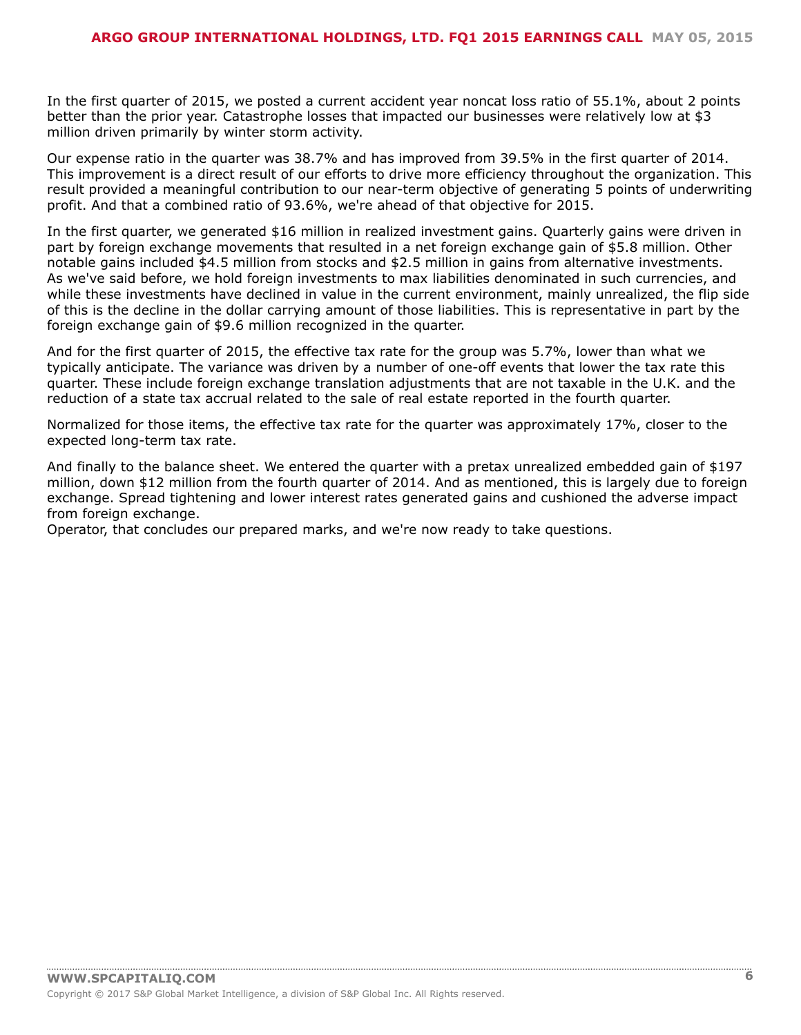In the first quarter of 2015, we posted a current accident year noncat loss ratio of 55.1%, about 2 points better than the prior year. Catastrophe losses that impacted our businesses were relatively low at \$3 million driven primarily by winter storm activity.

Our expense ratio in the quarter was 38.7% and has improved from 39.5% in the first quarter of 2014. This improvement is a direct result of our efforts to drive more efficiency throughout the organization. This result provided a meaningful contribution to our near-term objective of generating 5 points of underwriting profit. And that a combined ratio of 93.6%, we're ahead of that objective for 2015.

In the first quarter, we generated \$16 million in realized investment gains. Quarterly gains were driven in part by foreign exchange movements that resulted in a net foreign exchange gain of \$5.8 million. Other notable gains included \$4.5 million from stocks and \$2.5 million in gains from alternative investments. As we've said before, we hold foreign investments to max liabilities denominated in such currencies, and while these investments have declined in value in the current environment, mainly unrealized, the flip side of this is the decline in the dollar carrying amount of those liabilities. This is representative in part by the foreign exchange gain of \$9.6 million recognized in the quarter.

And for the first quarter of 2015, the effective tax rate for the group was 5.7%, lower than what we typically anticipate. The variance was driven by a number of one-off events that lower the tax rate this quarter. These include foreign exchange translation adjustments that are not taxable in the U.K. and the reduction of a state tax accrual related to the sale of real estate reported in the fourth quarter.

Normalized for those items, the effective tax rate for the quarter was approximately 17%, closer to the expected long-term tax rate.

And finally to the balance sheet. We entered the quarter with a pretax unrealized embedded gain of \$197 million, down \$12 million from the fourth quarter of 2014. And as mentioned, this is largely due to foreign exchange. Spread tightening and lower interest rates generated gains and cushioned the adverse impact from foreign exchange.

Operator, that concludes our prepared marks, and we're now ready to take questions.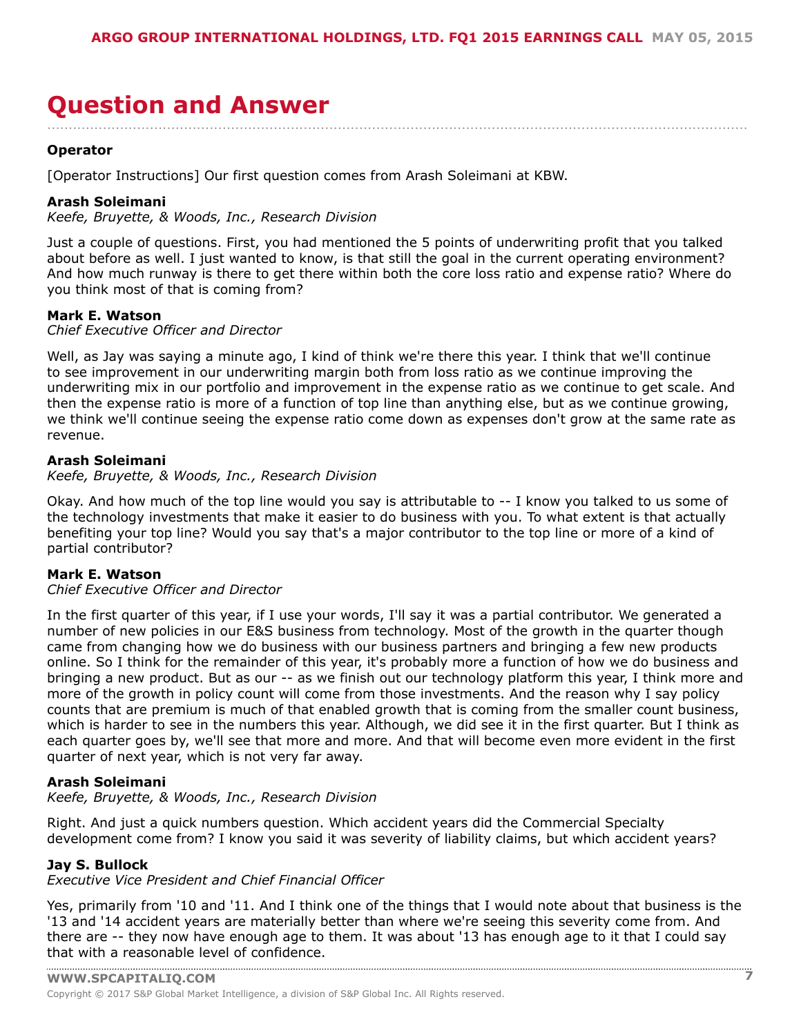# <span id="page-6-0"></span>**Question and Answer**

....................................................................................................................................................................

# **Operator**

[Operator Instructions] Our first question comes from Arash Soleimani at KBW.

# **Arash Soleimani**

*Keefe, Bruyette, & Woods, Inc., Research Division*

Just a couple of questions. First, you had mentioned the 5 points of underwriting profit that you talked about before as well. I just wanted to know, is that still the goal in the current operating environment? And how much runway is there to get there within both the core loss ratio and expense ratio? Where do you think most of that is coming from?

# **Mark E. Watson**

*Chief Executive Officer and Director*

Well, as Jay was saying a minute ago, I kind of think we're there this year. I think that we'll continue to see improvement in our underwriting margin both from loss ratio as we continue improving the underwriting mix in our portfolio and improvement in the expense ratio as we continue to get scale. And then the expense ratio is more of a function of top line than anything else, but as we continue growing, we think we'll continue seeing the expense ratio come down as expenses don't grow at the same rate as revenue.

# **Arash Soleimani**

*Keefe, Bruyette, & Woods, Inc., Research Division*

Okay. And how much of the top line would you say is attributable to -- I know you talked to us some of the technology investments that make it easier to do business with you. To what extent is that actually benefiting your top line? Would you say that's a major contributor to the top line or more of a kind of partial contributor?

# **Mark E. Watson**

*Chief Executive Officer and Director*

In the first quarter of this year, if I use your words, I'll say it was a partial contributor. We generated a number of new policies in our E&S business from technology. Most of the growth in the quarter though came from changing how we do business with our business partners and bringing a few new products online. So I think for the remainder of this year, it's probably more a function of how we do business and bringing a new product. But as our -- as we finish out our technology platform this year, I think more and more of the growth in policy count will come from those investments. And the reason why I say policy counts that are premium is much of that enabled growth that is coming from the smaller count business, which is harder to see in the numbers this year. Although, we did see it in the first quarter. But I think as each quarter goes by, we'll see that more and more. And that will become even more evident in the first quarter of next year, which is not very far away.

# **Arash Soleimani**

*Keefe, Bruyette, & Woods, Inc., Research Division*

Right. And just a quick numbers question. Which accident years did the Commercial Specialty development come from? I know you said it was severity of liability claims, but which accident years?

# **Jay S. Bullock**

*Executive Vice President and Chief Financial Officer*

Yes, primarily from '10 and '11. And I think one of the things that I would note about that business is the '13 and '14 accident years are materially better than where we're seeing this severity come from. And there are -- they now have enough age to them. It was about '13 has enough age to it that I could say that with a [reasonable](www.capitaliq.com) level of confidence.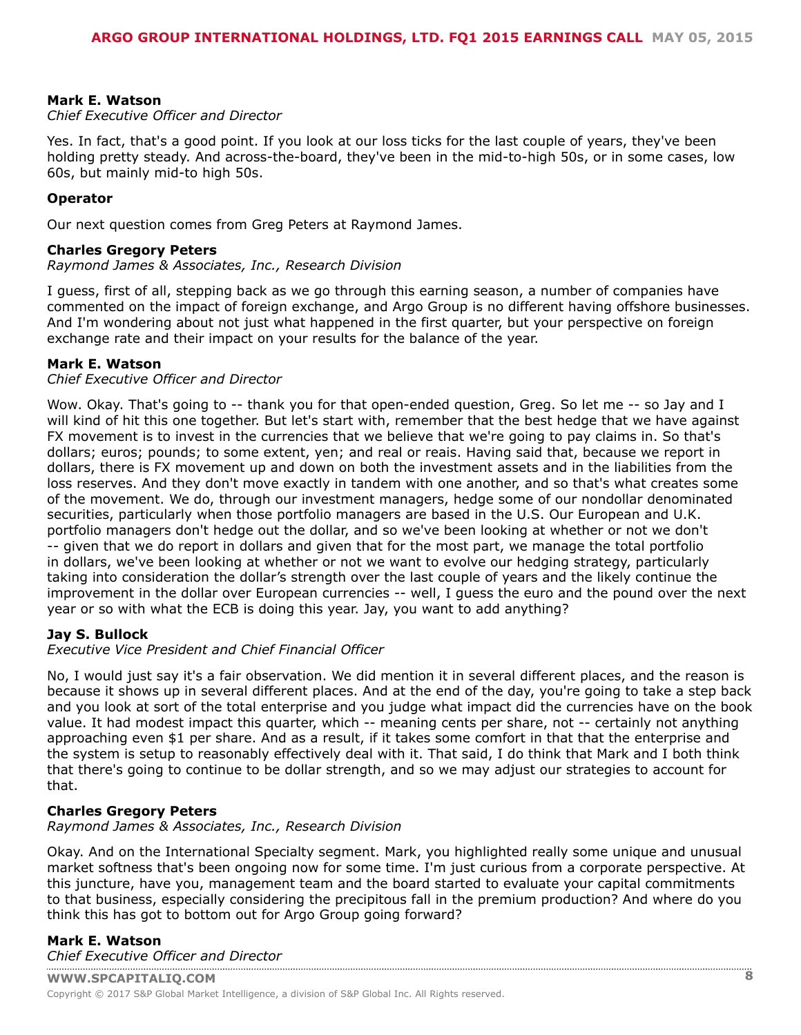#### **Mark E. Watson**

#### *Chief Executive Officer and Director*

Yes. In fact, that's a good point. If you look at our loss ticks for the last couple of years, they've been holding pretty steady. And across-the-board, they've been in the mid-to-high 50s, or in some cases, low 60s, but mainly mid-to high 50s.

#### **Operator**

Our next question comes from Greg Peters at Raymond James.

#### **Charles Gregory Peters**

*Raymond James & Associates, Inc., Research Division*

I guess, first of all, stepping back as we go through this earning season, a number of companies have commented on the impact of foreign exchange, and Argo Group is no different having offshore businesses. And I'm wondering about not just what happened in the first quarter, but your perspective on foreign exchange rate and their impact on your results for the balance of the year.

# **Mark E. Watson**

#### *Chief Executive Officer and Director*

Wow. Okay. That's going to -- thank you for that open-ended question, Greg. So let me -- so Jay and I will kind of hit this one together. But let's start with, remember that the best hedge that we have against FX movement is to invest in the currencies that we believe that we're going to pay claims in. So that's dollars; euros; pounds; to some extent, yen; and real or reais. Having said that, because we report in dollars, there is FX movement up and down on both the investment assets and in the liabilities from the loss reserves. And they don't move exactly in tandem with one another, and so that's what creates some of the movement. We do, through our investment managers, hedge some of our nondollar denominated securities, particularly when those portfolio managers are based in the U.S. Our European and U.K. portfolio managers don't hedge out the dollar, and so we've been looking at whether or not we don't -- given that we do report in dollars and given that for the most part, we manage the total portfolio in dollars, we've been looking at whether or not we want to evolve our hedging strategy, particularly taking into consideration the dollar's strength over the last couple of years and the likely continue the improvement in the dollar over European currencies -- well, I guess the euro and the pound over the next year or so with what the ECB is doing this year. Jay, you want to add anything?

# **Jay S. Bullock**

# *Executive Vice President and Chief Financial Officer*

No, I would just say it's a fair observation. We did mention it in several different places, and the reason is because it shows up in several different places. And at the end of the day, you're going to take a step back and you look at sort of the total enterprise and you judge what impact did the currencies have on the book value. It had modest impact this quarter, which -- meaning cents per share, not -- certainly not anything approaching even \$1 per share. And as a result, if it takes some comfort in that that the enterprise and the system is setup to reasonably effectively deal with it. That said, I do think that Mark and I both think that there's going to continue to be dollar strength, and so we may adjust our strategies to account for that.

# **Charles Gregory Peters**

#### *Raymond James & Associates, Inc., Research Division*

Okay. And on the International Specialty segment. Mark, you highlighted really some unique and unusual market softness that's been ongoing now for some time. I'm just curious from a corporate perspective. At this juncture, have you, management team and the board started to evaluate your capital commitments to that business, especially considering the precipitous fall in the premium production? And where do you think this has got to bottom out for Argo Group going forward?

# **Mark E. Watson** *[Chief Executive Officer an](www.capitaliq.com)d Director*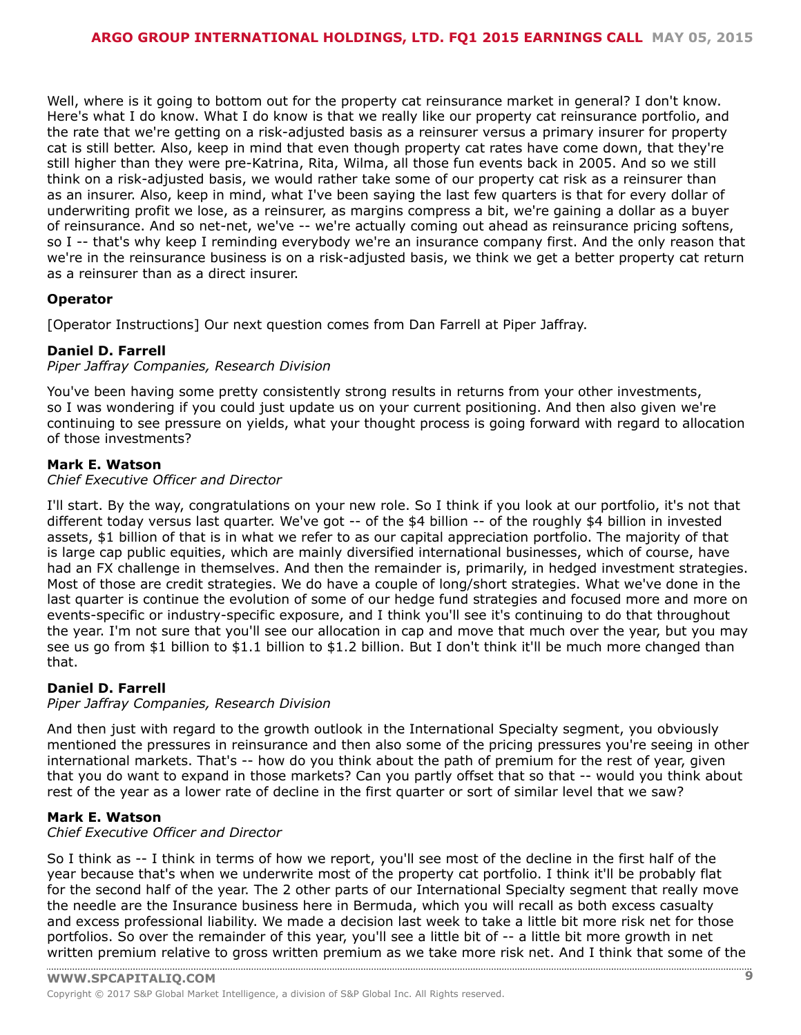Well, where is it going to bottom out for the property cat reinsurance market in general? I don't know. Here's what I do know. What I do know is that we really like our property cat reinsurance portfolio, and the rate that we're getting on a risk-adjusted basis as a reinsurer versus a primary insurer for property cat is still better. Also, keep in mind that even though property cat rates have come down, that they're still higher than they were pre-Katrina, Rita, Wilma, all those fun events back in 2005. And so we still think on a risk-adjusted basis, we would rather take some of our property cat risk as a reinsurer than as an insurer. Also, keep in mind, what I've been saying the last few quarters is that for every dollar of underwriting profit we lose, as a reinsurer, as margins compress a bit, we're gaining a dollar as a buyer of reinsurance. And so net-net, we've -- we're actually coming out ahead as reinsurance pricing softens, so I -- that's why keep I reminding everybody we're an insurance company first. And the only reason that we're in the reinsurance business is on a risk-adjusted basis, we think we get a better property cat return as a reinsurer than as a direct insurer.

# **Operator**

[Operator Instructions] Our next question comes from Dan Farrell at Piper Jaffray.

# **Daniel D. Farrell**

*Piper Jaffray Companies, Research Division*

You've been having some pretty consistently strong results in returns from your other investments, so I was wondering if you could just update us on your current positioning. And then also given we're continuing to see pressure on yields, what your thought process is going forward with regard to allocation of those investments?

# **Mark E. Watson**

*Chief Executive Officer and Director*

I'll start. By the way, congratulations on your new role. So I think if you look at our portfolio, it's not that different today versus last quarter. We've got -- of the \$4 billion -- of the roughly \$4 billion in invested assets, \$1 billion of that is in what we refer to as our capital appreciation portfolio. The majority of that is large cap public equities, which are mainly diversified international businesses, which of course, have had an FX challenge in themselves. And then the remainder is, primarily, in hedged investment strategies. Most of those are credit strategies. We do have a couple of long/short strategies. What we've done in the last quarter is continue the evolution of some of our hedge fund strategies and focused more and more on events-specific or industry-specific exposure, and I think you'll see it's continuing to do that throughout the year. I'm not sure that you'll see our allocation in cap and move that much over the year, but you may see us go from \$1 billion to \$1.1 billion to \$1.2 billion. But I don't think it'll be much more changed than that.

# **Daniel D. Farrell**

*Piper Jaffray Companies, Research Division*

And then just with regard to the growth outlook in the International Specialty segment, you obviously mentioned the pressures in reinsurance and then also some of the pricing pressures you're seeing in other international markets. That's -- how do you think about the path of premium for the rest of year, given that you do want to expand in those markets? Can you partly offset that so that -- would you think about rest of the year as a lower rate of decline in the first quarter or sort of similar level that we saw?

# **Mark E. Watson**

*Chief Executive Officer and Director*

So I think as -- I think in terms of how we report, you'll see most of the decline in the first half of the year because that's when we underwrite most of the property cat portfolio. I think it'll be probably flat for the second half of the year. The 2 other parts of our International Specialty segment that really move the needle are the Insurance business here in Bermuda, which you will recall as both excess casualty and excess professional liability. We made a decision last week to take a little bit more risk net for those portfolios. So over the remainder of this year, you'll see a little bit of -- a little bit more growth in net written [premium](www.capitaliq.com) relative to gross written premium as we take more risk net. And I think that some of the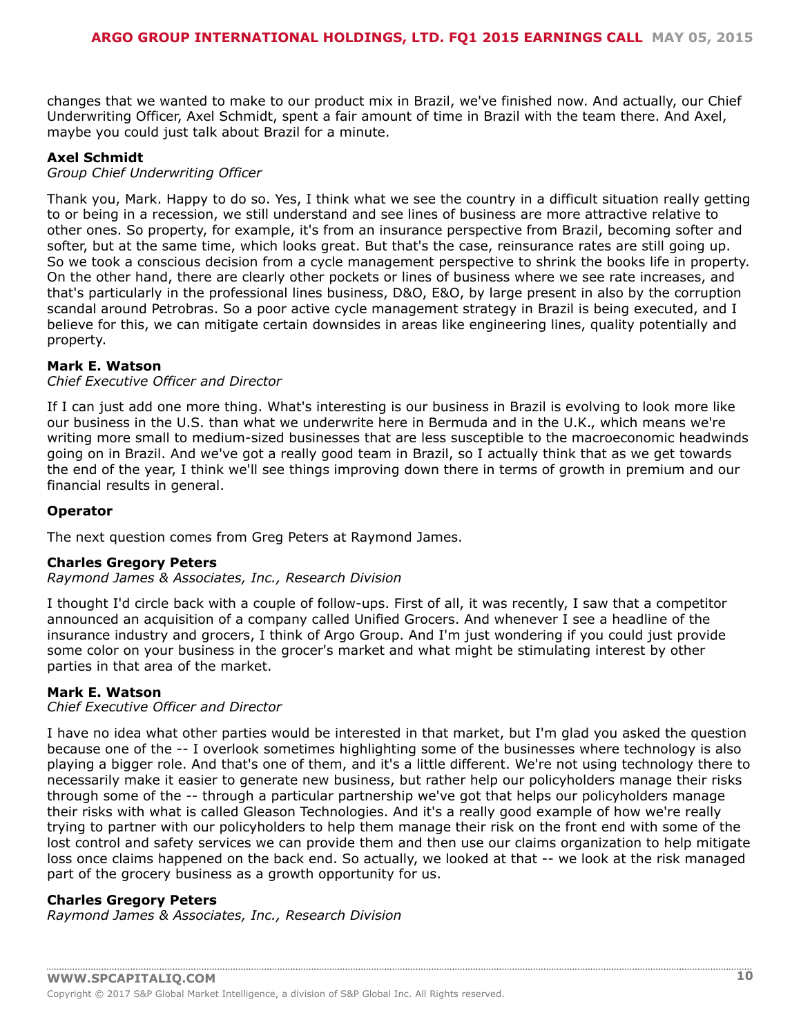changes that we wanted to make to our product mix in Brazil, we've finished now. And actually, our Chief Underwriting Officer, Axel Schmidt, spent a fair amount of time in Brazil with the team there. And Axel, maybe you could just talk about Brazil for a minute.

#### **Axel Schmidt**

#### *Group Chief Underwriting Officer*

Thank you, Mark. Happy to do so. Yes, I think what we see the country in a difficult situation really getting to or being in a recession, we still understand and see lines of business are more attractive relative to other ones. So property, for example, it's from an insurance perspective from Brazil, becoming softer and softer, but at the same time, which looks great. But that's the case, reinsurance rates are still going up. So we took a conscious decision from a cycle management perspective to shrink the books life in property. On the other hand, there are clearly other pockets or lines of business where we see rate increases, and that's particularly in the professional lines business, D&O, E&O, by large present in also by the corruption scandal around Petrobras. So a poor active cycle management strategy in Brazil is being executed, and I believe for this, we can mitigate certain downsides in areas like engineering lines, quality potentially and property.

# **Mark E. Watson**

#### *Chief Executive Officer and Director*

If I can just add one more thing. What's interesting is our business in Brazil is evolving to look more like our business in the U.S. than what we underwrite here in Bermuda and in the U.K., which means we're writing more small to medium-sized businesses that are less susceptible to the macroeconomic headwinds going on in Brazil. And we've got a really good team in Brazil, so I actually think that as we get towards the end of the year, I think we'll see things improving down there in terms of growth in premium and our financial results in general.

#### **Operator**

The next question comes from Greg Peters at Raymond James.

#### **Charles Gregory Peters**

*Raymond James & Associates, Inc., Research Division*

I thought I'd circle back with a couple of follow-ups. First of all, it was recently, I saw that a competitor announced an acquisition of a company called Unified Grocers. And whenever I see a headline of the insurance industry and grocers, I think of Argo Group. And I'm just wondering if you could just provide some color on your business in the grocer's market and what might be stimulating interest by other parties in that area of the market.

# **Mark E. Watson**

#### *Chief Executive Officer and Director*

I have no idea what other parties would be interested in that market, but I'm glad you asked the question because one of the -- I overlook sometimes highlighting some of the businesses where technology is also playing a bigger role. And that's one of them, and it's a little different. We're not using technology there to necessarily make it easier to generate new business, but rather help our policyholders manage their risks through some of the -- through a particular partnership we've got that helps our policyholders manage their risks with what is called Gleason Technologies. And it's a really good example of how we're really trying to partner with our policyholders to help them manage their risk on the front end with some of the lost control and safety services we can provide them and then use our claims organization to help mitigate loss once claims happened on the back end. So actually, we looked at that -- we look at the risk managed part of the grocery business as a growth opportunity for us.

# **Charles Gregory Peters**

*Raymond James & Associates, Inc., Research Division*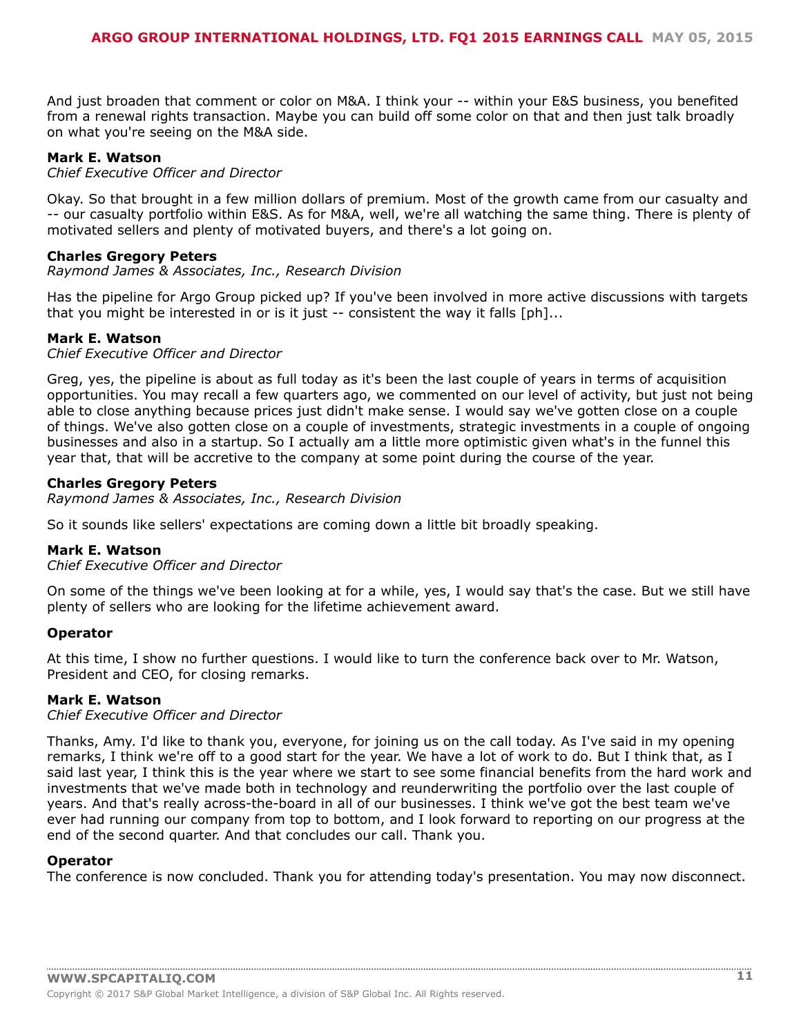And just broaden that comment or color on M&A. I think your -- within your E&S business, you benefited from a renewal rights transaction. Maybe you can build off some color on that and then just talk broadly on what you're seeing on the M&A side.

#### **Mark E. Watson**

*Chief Executive Officer and Director*

Okay. So that brought in a few million dollars of premium. Most of the growth came from our casualty and -- our casualty portfolio within E&S. As for M&A, well, we're all watching the same thing. There is plenty of motivated sellers and plenty of motivated buyers, and there's a lot going on.

#### **Charles Gregory Peters**

*Raymond James & Associates, Inc., Research Division*

Has the pipeline for Argo Group picked up? If you've been involved in more active discussions with targets that you might be interested in or is it just -- consistent the way it falls [ph]...

#### **Mark E. Watson**

*Chief Executive Officer and Director*

Greg, yes, the pipeline is about as full today as it's been the last couple of years in terms of acquisition opportunities. You may recall a few quarters ago, we commented on our level of activity, but just not being able to close anything because prices just didn't make sense. I would say we've gotten close on a couple of things. We've also gotten close on a couple of investments, strategic investments in a couple of ongoing businesses and also in a startup. So I actually am a little more optimistic given what's in the funnel this year that, that will be accretive to the company at some point during the course of the year.

# **Charles Gregory Peters**

*Raymond James & Associates, Inc., Research Division*

So it sounds like sellers' expectations are coming down a little bit broadly speaking.

#### **Mark E. Watson**

*Chief Executive Officer and Director*

On some of the things we've been looking at for a while, yes, I would say that's the case. But we still have plenty of sellers who are looking for the lifetime achievement award.

# **Operator**

At this time, I show no further questions. I would like to turn the conference back over to Mr. Watson, President and CEO, for closing remarks.

#### **Mark E. Watson**

*Chief Executive Officer and Director*

Thanks, Amy. I'd like to thank you, everyone, for joining us on the call today. As I've said in my opening remarks, I think we're off to a good start for the year. We have a lot of work to do. But I think that, as I said last year, I think this is the year where we start to see some financial benefits from the hard work and investments that we've made both in technology and reunderwriting the portfolio over the last couple of years. And that's really across-the-board in all of our businesses. I think we've got the best team we've ever had running our company from top to bottom, and I look forward to reporting on our progress at the end of the second quarter. And that concludes our call. Thank you.

#### **Operator**

The conference is now concluded. Thank you for attending today's presentation. You may now disconnect.